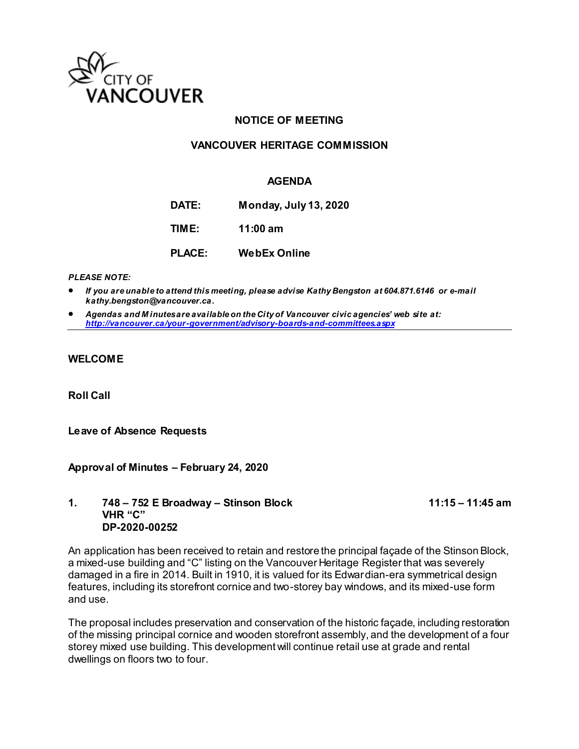

# **NOTICE OF MEETING**

# **VANCOUVER HERITAGE COMMISSION**

### **AGENDA**

**DATE: Monday, July 13, 2020 TIME: 11:00 am**

**PLACE: WebEx Online**

*PLEASE NOTE:* 

 *If you are unable to attend this meeting, please advise Kathy Bengston at 604.871.6146 or e-mail kathy.bengston@vancouver.ca.* 

 *Agendas and M inutes are available on the City of Vancouver civic agencies' web site at: <http://vancouver.ca/your-government/advisory-boards-and-committees.aspx>*

### **WELCOME**

**Roll Call** 

### **Leave of Absence Requests**

### **Approval of Minutes – February 24, 2020**

### **1. 748 – 752 E Broadway – Stinson Block 11:15 – 11:45 am VHR "C" DP-2020-00252**

An application has been received to retain and restore the principal façade of the Stinson Block, a mixed-use building and "C" listing on the Vancouver Heritage Register that was severely damaged in a fire in 2014. Built in 1910, it is valued for its Edwardian-era symmetrical design features, including its storefront cornice and two-storey bay windows, and its mixed-use form and use.

The proposal includes preservation and conservation of the historic façade, including restoration of the missing principal cornice and wooden storefront assembly, and the development of a four storey mixed use building. This development will continue retail use at grade and rental dwellings on floors two to four.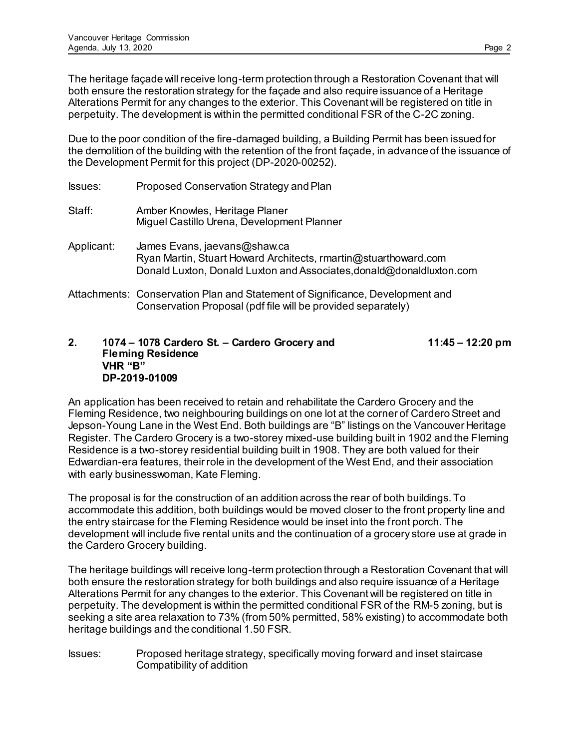The heritage façade will receive long-term protection through a Restoration Covenant that will both ensure the restoration strategy for the façade and also require issuance of a Heritage Alterations Permit for any changes to the exterior. This Covenant will be registered on title in perpetuity. The development is within the permitted conditional FSR of the C-2C zoning.

Due to the poor condition of the fire-damaged building, a Building Permit has been issued for the demolition of the building with the retention of the front façade, in advance of the issuance of the Development Permit for this project (DP-2020-00252).

| <b>Issues:</b> | Proposed Conservation Strategy and Plan                                                                                                                                 |
|----------------|-------------------------------------------------------------------------------------------------------------------------------------------------------------------------|
| Staff:         | Amber Knowles, Heritage Planer<br>Miguel Castillo Urena, Development Planner                                                                                            |
| Applicant:     | James Evans, jaevans@shaw.ca<br>Ryan Martin, Stuart Howard Architects, rmartin@stuarthoward.com<br>Donald Luxton, Donald Luxton and Associates, donald@donaldluxton.com |
|                | Attachments: Conservation Plan and Statement of Significance, Development and<br>Conservation Proposal (pdf file will be provided separately)                           |

# **2. 1074 – 1078 Cardero St. – Cardero Grocery and 11:45 – 12:20 pm Fleming Residence VHR "B" DP-2019-01009**

An application has been received to retain and rehabilitate the Cardero Grocery and the Fleming Residence, two neighbouring buildings on one lot at the corner of Cardero Street and Jepson-Young Lane in the West End. Both buildings are "B" listings on the Vancouver Heritage Register. The Cardero Grocery is a two-storey mixed-use building built in 1902 and the Fleming Residence is a two-storey residential building built in 1908. They are both valued for their Edwardian-era features, their role in the development of the West End, and their association with early businesswoman, Kate Fleming.

The proposal is for the construction of an addition across the rear of both buildings. To accommodate this addition, both buildings would be moved closer to the front property line and the entry staircase for the Fleming Residence would be inset into the front porch. The development will include five rental units and the continuation of a grocery store use at grade in the Cardero Grocery building.

The heritage buildings will receive long-term protection through a Restoration Covenant that will both ensure the restoration strategy for both buildings and also require issuance of a Heritage Alterations Permit for any changes to the exterior. This Covenant will be registered on title in perpetuity. The development is within the permitted conditional FSR of the RM-5 zoning, but is seeking a site area relaxation to 73% (from 50% permitted, 58% existing) to accommodate both heritage buildings and the conditional 1.50 FSR.

Issues: Proposed heritage strategy, specifically moving forward and inset staircase Compatibility of addition